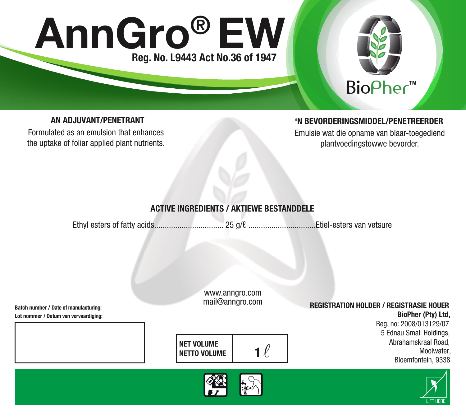# AnnGro ® EW Reg. No. L9443 Act No.36 of 1947



# AN AD.IIIVANT/PENETRANT

Formulated as an emulsion that enhances the uptake of foliar applied plant nutrients.

## 'N BEVORDERINGSMIDDEL/PENETREERDER

Emulsie wat die opname van blaar-toegediend plantvoedingstowwe bevorder.

# ACTIVE INGREDIENTS / AKTIEWE BESTANDDELE

Ethyl esters of fatty acids................................. 25 g/ℓ ................................Etiel-esters van vetsure

www.anngro.com mail@anngro.com

## REGISTRATION HOLDER / REGISTRASIE HOUER

BioPher (Pty) Ltd, Reg. no: 2008/013129/07 5 Ednau Small Holdings, Abrahamskraal Road, **Mooiwater** Bloemfontein, 9338

LIFT HERE